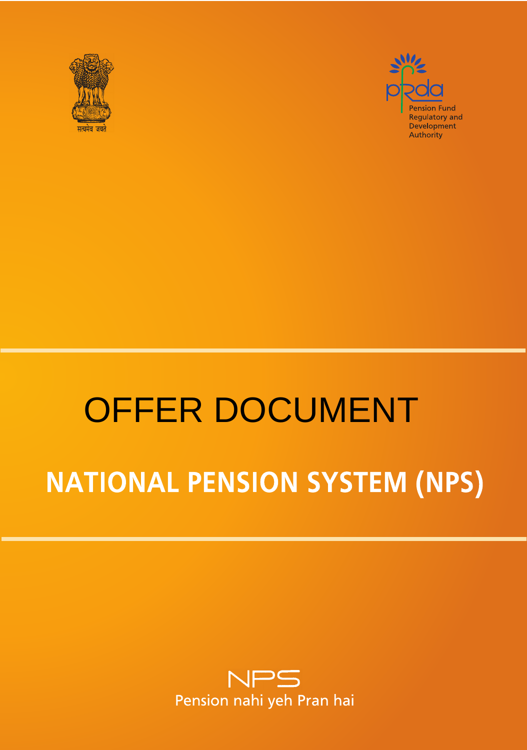



# OFFER DOCUMENT

# **NATIONAL PENSION SYSTEM (NPS)**

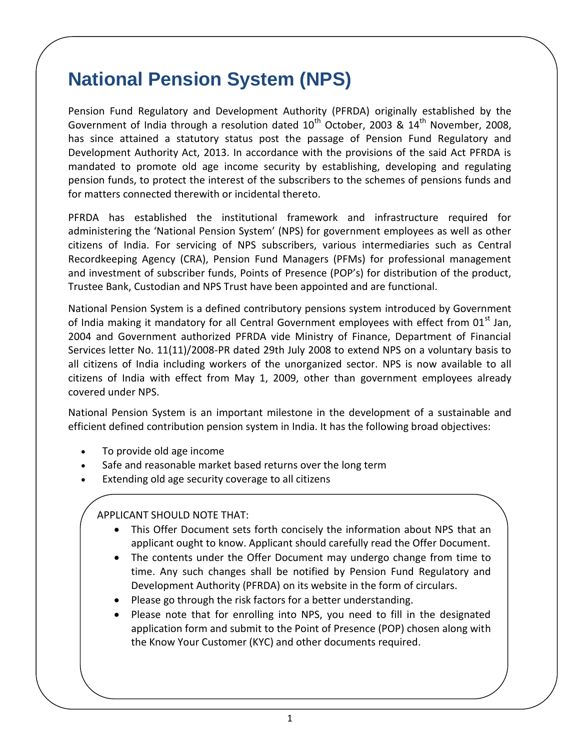# **National Pension System (NPS)**

Pension Fund Regulatory and Development Authority (PFRDA) originally established by the Government of India through a resolution dated  $10^{th}$  October, 2003 &  $14^{th}$  November, 2008, has since attained a statutory status post the passage of Pension Fund Regulatory and Development Authority Act, 2013. In accordance with the provisions of the said Act PFRDA is mandated to promote old age income security by establishing, developing and regulating pension funds, to protect the interest of the subscribers to the schemes of pensions funds and for matters connected therewith or incidental thereto.

PFRDA has established the institutional framework and infrastructure required for administering the 'National Pension System' (NPS) for government employees as well as other citizens of India. For servicing of NPS subscribers, various intermediaries such as Central Recordkeeping Agency (CRA), Pension Fund Managers (PFMs) for professional management and investment of subscriber funds, Points of Presence (POP's) for distribution of the product, Trustee Bank, Custodian and NPS Trust have been appointed and are functional.

National Pension System is a defined contributory pensions system introduced by Government of India making it mandatory for all Central Government employees with effect from 01<sup>st</sup> Jan, 2004 and Government authorized PFRDA vide Ministry of Finance, Department of Financial Services letter No. 11(11)/2008-PR dated 29th July 2008 to extend NPS on a voluntary basis to all citizens of India including workers of the unorganized sector. NPS is now available to all citizens of India with effect from May 1, 2009, other than government employees already covered under NPS.

National Pension System is an important milestone in the development of a sustainable and efficient defined contribution pension system in India. It has the following broad objectives:

- To provide old age income
- Safe and reasonable market based returns over the long term
- Extending old age security coverage to all citizens

APPLICANT SHOULD NOTE THAT:

- This Offer Document sets forth concisely the information about NPS that an applicant ought to know. Applicant should carefully read the Offer Document.
- The contents under the Offer Document may undergo change from time to time. Any such changes shall be notified by Pension Fund Regulatory and Development Authority (PFRDA) on its website in the form of circulars.
- Please go through the risk factors for a better understanding.
- Please note that for enrolling into NPS, you need to fill in the designated application form and submit to the Point of Presence (POP) chosen along with the Know Your Customer (KYC) and other documents required.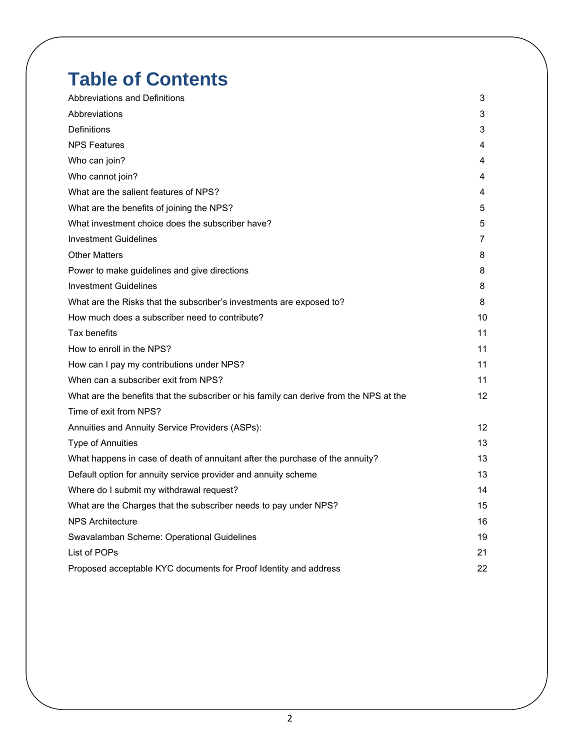# **Table of Contents**

| Abbreviations and Definitions                                                          | 3  |
|----------------------------------------------------------------------------------------|----|
| Abbreviations                                                                          | 3  |
| Definitions                                                                            | 3  |
| <b>NPS Features</b>                                                                    | 4  |
| Who can join?                                                                          | 4  |
| Who cannot join?                                                                       | 4  |
| What are the salient features of NPS?                                                  | 4  |
| What are the benefits of joining the NPS?                                              | 5  |
| What investment choice does the subscriber have?                                       | 5  |
| <b>Investment Guidelines</b>                                                           | 7  |
| <b>Other Matters</b>                                                                   | 8  |
| Power to make guidelines and give directions                                           | 8  |
| <b>Investment Guidelines</b>                                                           | 8  |
| What are the Risks that the subscriber's investments are exposed to?                   | 8  |
| How much does a subscriber need to contribute?                                         | 10 |
| Tax benefits                                                                           | 11 |
| How to enroll in the NPS?                                                              | 11 |
| How can I pay my contributions under NPS?                                              | 11 |
| When can a subscriber exit from NPS?                                                   | 11 |
| What are the benefits that the subscriber or his family can derive from the NPS at the | 12 |
| Time of exit from NPS?                                                                 |    |
| Annuities and Annuity Service Providers (ASPs):                                        | 12 |
| <b>Type of Annuities</b>                                                               | 13 |
| What happens in case of death of annuitant after the purchase of the annuity?          | 13 |
| Default option for annuity service provider and annuity scheme                         | 13 |
| Where do I submit my withdrawal request?                                               | 14 |
| What are the Charges that the subscriber needs to pay under NPS?                       | 15 |
| <b>NPS Architecture</b>                                                                | 16 |
| Swavalamban Scheme: Operational Guidelines                                             | 19 |
| List of POPs                                                                           | 21 |
| Proposed acceptable KYC documents for Proof Identity and address                       | 22 |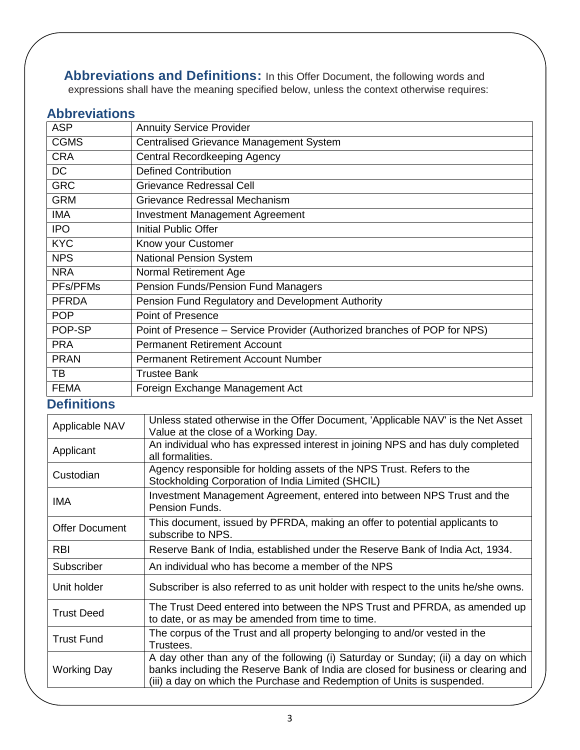**Abbreviations and Definitions:** In this Offer Document, the following words and expressions shall have the meaning specified below, unless the context otherwise requires:

### **Abbreviations**

| <b>ASP</b>            | <b>Annuity Service Provider</b>                                                                                            |  |
|-----------------------|----------------------------------------------------------------------------------------------------------------------------|--|
| <b>CGMS</b>           | <b>Centralised Grievance Management System</b>                                                                             |  |
| <b>CRA</b>            | Central Recordkeeping Agency                                                                                               |  |
| $\overline{DC}$       | <b>Defined Contribution</b>                                                                                                |  |
| <b>GRC</b>            | <b>Grievance Redressal Cell</b>                                                                                            |  |
| <b>GRM</b>            | Grievance Redressal Mechanism                                                                                              |  |
| <b>IMA</b>            | <b>Investment Management Agreement</b>                                                                                     |  |
| <b>IPO</b>            | <b>Initial Public Offer</b>                                                                                                |  |
| <b>KYC</b>            | Know your Customer                                                                                                         |  |
| <b>NPS</b>            | <b>National Pension System</b>                                                                                             |  |
| <b>NRA</b>            | Normal Retirement Age                                                                                                      |  |
| PFs/PFMs              | <b>Pension Funds/Pension Fund Managers</b>                                                                                 |  |
| <b>PFRDA</b>          | Pension Fund Regulatory and Development Authority                                                                          |  |
| <b>POP</b>            | Point of Presence                                                                                                          |  |
| POP-SP                | Point of Presence - Service Provider (Authorized branches of POP for NPS)                                                  |  |
| <b>PRA</b>            | <b>Permanent Retirement Account</b>                                                                                        |  |
| <b>PRAN</b>           | <b>Permanent Retirement Account Number</b>                                                                                 |  |
| <b>TB</b>             | <b>Trustee Bank</b>                                                                                                        |  |
| <b>FEMA</b>           | Foreign Exchange Management Act                                                                                            |  |
| <b>Definitions</b>    |                                                                                                                            |  |
| Applicable NAV        | Unless stated otherwise in the Offer Document, 'Applicable NAV' is the Net Asset<br>Value at the close of a Working Day.   |  |
| Applicant             | An individual who has expressed interest in joining NPS and has duly completed<br>all formalities.                         |  |
| Custodian             | Agency responsible for holding assets of the NPS Trust. Refers to the<br>Stockholding Corporation of India Limited (SHCIL) |  |
| <b>IMA</b>            | Investment Management Agreement, entered into between NPS Trust and the<br>Pension Funds.                                  |  |
| <b>Offer Document</b> | This document, issued by PFRDA, making an offer to potential applicants to<br>subscribe to NPS.                            |  |
| <b>RBI</b>            | Reserve Bank of India, established under the Reserve Bank of India Act, 1934.                                              |  |
| Subscriber            | An individual who has become a member of the NPS                                                                           |  |
| Unit holder           | Subscriber is also referred to as unit holder with respect to the units he/she owns.                                       |  |

Trust Deed The Trust Deed entered into between the NPS Trust and PFRDA, as amended up to date, or as may be amended from time to time. The corpus of the Trust and all property belonging to and/or vested in the Trustees. Working Day A day other than any of the following (i) Saturday or Sunday; (ii) a day on which banks including the Reserve Bank of India are closed for business or clearing and

(iii) a day on which the Purchase and Redemption of Units is suspended.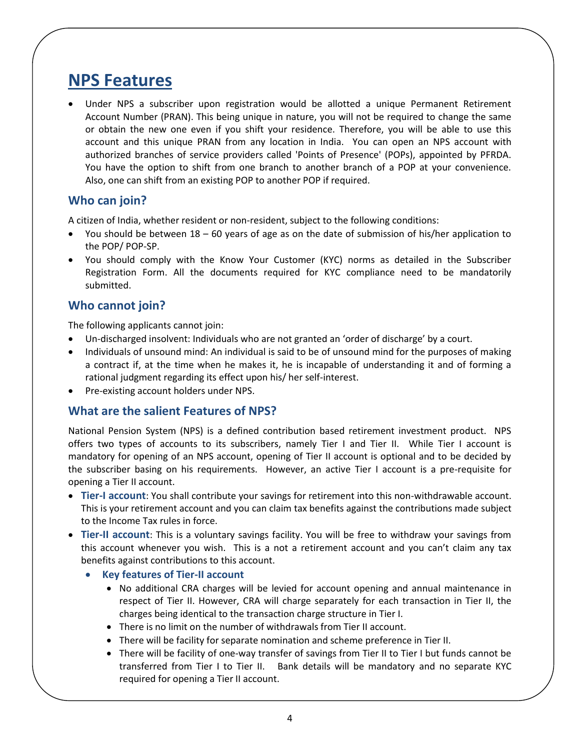# **NPS Features**

 Under NPS a subscriber upon registration would be allotted a unique Permanent Retirement Account Number (PRAN). This being unique in nature, you will not be required to change the same or obtain the new one even if you shift your residence. Therefore, you will be able to use this account and this unique PRAN from any location in India. You can open an NPS account with authorized branches of service providers called 'Points of Presence' (POPs), appointed by PFRDA. You have the option to shift from one branch to another branch of a POP at your convenience. Also, one can shift from an existing POP to another POP if required.

#### **Who can join?**

A citizen of India, whether resident or non-resident, subject to the following conditions:

- You should be between 18 60 years of age as on the date of submission of his/her application to the POP/ POP-SP.
- You should comply with the Know Your Customer (KYC) norms as detailed in the Subscriber Registration Form. All the documents required for KYC compliance need to be mandatorily submitted.

#### **Who cannot join?**

The following applicants cannot join:

- Un-discharged insolvent: Individuals who are not granted an 'order of discharge' by a court.
- Individuals of unsound mind: An individual is said to be of unsound mind for the purposes of making a contract if, at the time when he makes it, he is incapable of understanding it and of forming a rational judgment regarding its effect upon his/ her self-interest.
- Pre-existing account holders under NPS.

#### **What are the salient Features of NPS?**

National Pension System (NPS) is a defined contribution based retirement investment product. NPS offers two types of accounts to its subscribers, namely Tier I and Tier II. While Tier I account is mandatory for opening of an NPS account, opening of Tier II account is optional and to be decided by the subscriber basing on his requirements. However, an active Tier I account is a pre-requisite for opening a Tier II account.

- **Tier-I account**: You shall contribute your savings for retirement into this non-withdrawable account. This is your retirement account and you can claim tax benefits against the contributions made subject to the Income Tax rules in force.
- **Tier-II account**: This is a voluntary savings facility. You will be free to withdraw your savings from this account whenever you wish. This is a not a retirement account and you can't claim any tax benefits against contributions to this account.
	- **Key features of Tier-II account**
		- No additional CRA charges will be levied for account opening and annual maintenance in respect of Tier II. However, CRA will charge separately for each transaction in Tier II, the charges being identical to the transaction charge structure in Tier I.
		- There is no limit on the number of withdrawals from Tier II account.
		- There will be facility for separate nomination and scheme preference in Tier II.
		- There will be facility of one-way transfer of savings from Tier II to Tier I but funds cannot be transferred from Tier I to Tier II. Bank details will be mandatory and no separate KYC required for opening a Tier II account.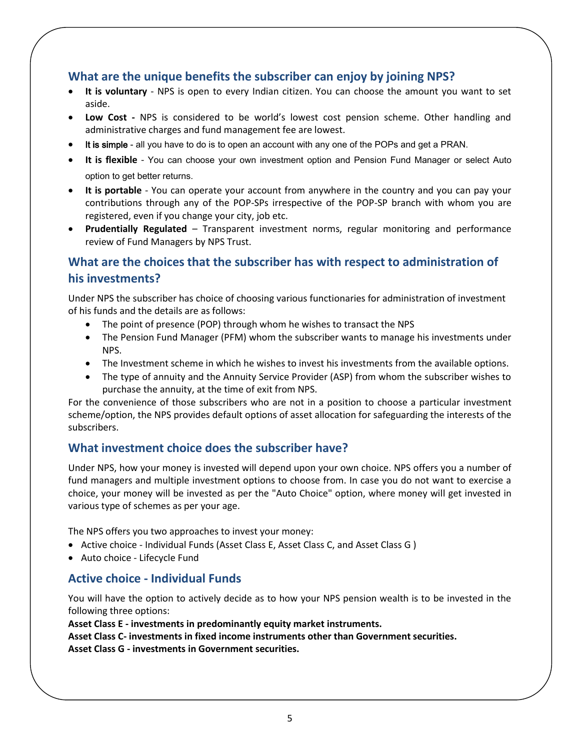## **What are the unique benefits the subscriber can enjoy by joining NPS?**

- **It is voluntary** NPS is open to every Indian citizen. You can choose the amount you want to set aside.
- **Low Cost -** NPS is considered to be world's lowest cost pension scheme. Other handling and administrative charges and fund management fee are lowest.
- It is simple all you have to do is to open an account with any one of the POPs and get a PRAN.
- **It is flexible** You can choose your own investment option and Pension Fund Manager or select Auto option to get better returns.
- **It is portable** You can operate your account from anywhere in the country and you can pay your contributions through any of the POP-SPs irrespective of the POP-SP branch with whom you are registered, even if you change your city, job etc.
- **Prudentially Regulated** Transparent investment norms, regular monitoring and performance review of Fund Managers by NPS Trust.

# **What are the choices that the subscriber has with respect to administration of his investments?**

Under NPS the subscriber has choice of choosing various functionaries for administration of investment of his funds and the details are as follows:

- The point of presence (POP) through whom he wishes to transact the NPS
- The Pension Fund Manager (PFM) whom the subscriber wants to manage his investments under NPS.
- The Investment scheme in which he wishes to invest his investments from the available options.
- The type of annuity and the Annuity Service Provider (ASP) from whom the subscriber wishes to purchase the annuity, at the time of exit from NPS.

For the convenience of those subscribers who are not in a position to choose a particular investment scheme/option, the NPS provides default options of asset allocation for safeguarding the interests of the subscribers.

#### **What investment choice does the subscriber have?**

Under NPS, how your money is invested will depend upon your own choice. NPS offers you a number of fund managers and multiple investment options to choose from. In case you do not want to exercise a choice, your money will be invested as per the "Auto Choice" option, where money will get invested in various type of schemes as per your age.

The NPS offers you two approaches to invest your money:

- Active choice Individual Funds (Asset Class E, Asset Class C, and Asset Class G )
- Auto choice Lifecycle Fund

#### **Active choice - Individual Funds**

You will have the option to actively decide as to how your NPS pension wealth is to be invested in the following three options:

**Asset Class E - investments in predominantly equity market instruments. Asset Class C- investments in fixed income instruments other than Government securities. Asset Class G - investments in Government securities.**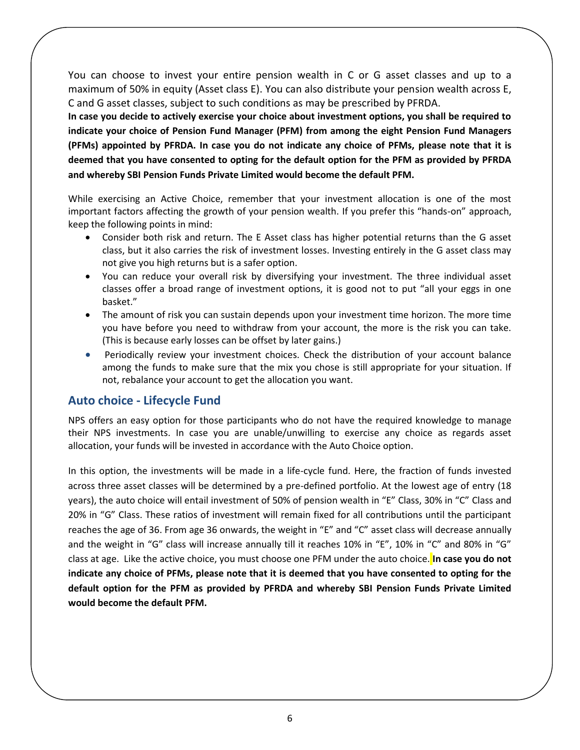You can choose to invest your entire pension wealth in C or G asset classes and up to a maximum of 50% in equity (Asset class E). You can also distribute your pension wealth across E, C and G asset classes, subject to such conditions as may be prescribed by PFRDA.

**In case you decide to actively exercise your choice about investment options, you shall be required to indicate your choice of Pension Fund Manager (PFM) from among the eight Pension Fund Managers (PFMs) appointed by PFRDA. In case you do not indicate any choice of PFMs, please note that it is deemed that you have consented to opting for the default option for the PFM as provided by PFRDA and whereby SBI Pension Funds Private Limited would become the default PFM.**

While exercising an Active Choice, remember that your investment allocation is one of the most important factors affecting the growth of your pension wealth. If you prefer this "hands-on" approach, keep the following points in mind:

- Consider both risk and return. The E Asset class has higher potential returns than the G asset class, but it also carries the risk of investment losses. Investing entirely in the G asset class may not give you high returns but is a safer option.
- You can reduce your overall risk by diversifying your investment. The three individual asset classes offer a broad range of investment options, it is good not to put "all your eggs in one basket."
- The amount of risk you can sustain depends upon your investment time horizon. The more time you have before you need to withdraw from your account, the more is the risk you can take. (This is because early losses can be offset by later gains.)
- Periodically review your investment choices. Check the distribution of your account balance among the funds to make sure that the mix you chose is still appropriate for your situation. If not, rebalance your account to get the allocation you want.

#### **Auto choice - Lifecycle Fund**

NPS offers an easy option for those participants who do not have the required knowledge to manage their NPS investments. In case you are unable/unwilling to exercise any choice as regards asset allocation, your funds will be invested in accordance with the Auto Choice option.

In this option, the investments will be made in a life-cycle fund. Here, the fraction of funds invested across three asset classes will be determined by a pre-defined portfolio. At the lowest age of entry (18 years), the auto choice will entail investment of 50% of pension wealth in "E" Class, 30% in "C" Class and 20% in "G" Class. These ratios of investment will remain fixed for all contributions until the participant reaches the age of 36. From age 36 onwards, the weight in "E" and "C" asset class will decrease annually and the weight in "G" class will increase annually till it reaches 10% in "E", 10% in "C" and 80% in "G" class at age. Like the active choice, you must choose one PFM under the auto choice. **In case you do not indicate any choice of PFMs, please note that it is deemed that you have consented to opting for the default option for the PFM as provided by PFRDA and whereby SBI Pension Funds Private Limited would become the default PFM.**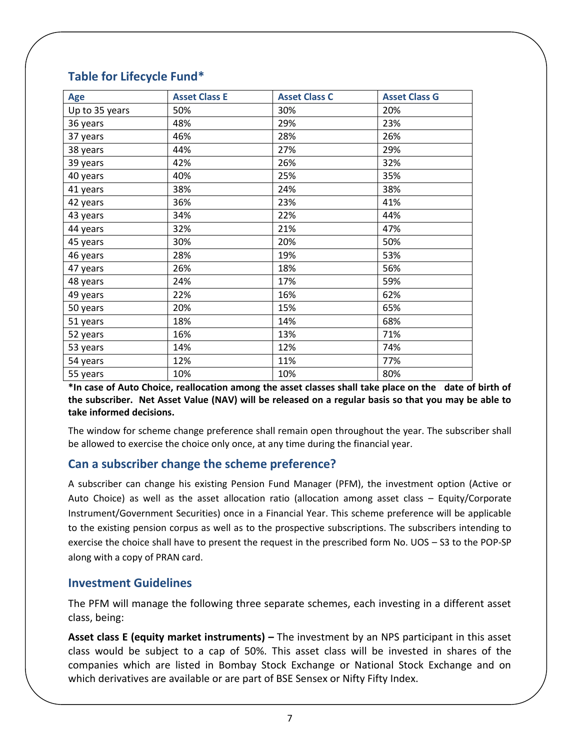| <b>Age</b>     | <b>Asset Class E</b> | <b>Asset Class C</b> | <b>Asset Class G</b> |
|----------------|----------------------|----------------------|----------------------|
| Up to 35 years | 50%                  | 30%                  | 20%                  |
| 36 years       | 48%                  | 29%                  | 23%                  |
| 37 years       | 46%                  | 28%                  | 26%                  |
| 38 years       | 44%                  | 27%                  | 29%                  |
| 39 years       | 42%                  | 26%                  | 32%                  |
| 40 years       | 40%                  | 25%                  | 35%                  |
| 41 years       | 38%                  | 24%                  | 38%                  |
| 42 years       | 36%                  | 23%                  | 41%                  |
| 43 years       | 34%                  | 22%                  | 44%                  |
| 44 years       | 32%                  | 21%                  | 47%                  |
| 45 years       | 30%                  | 20%                  | 50%                  |
| 46 years       | 28%                  | 19%                  | 53%                  |
| 47 years       | 26%                  | 18%                  | 56%                  |
| 48 years       | 24%                  | 17%                  | 59%                  |
| 49 years       | 22%                  | 16%                  | 62%                  |
| 50 years       | 20%                  | 15%                  | 65%                  |
| 51 years       | 18%                  | 14%                  | 68%                  |
| 52 years       | 16%                  | 13%                  | 71%                  |
| 53 years       | 14%                  | 12%                  | 74%                  |
| 54 years       | 12%                  | 11%                  | 77%                  |
| 55 years       | 10%                  | 10%                  | 80%                  |

## **Table for Lifecycle Fund\***

**\*In case of Auto Choice, reallocation among the asset classes shall take place on the date of birth of the subscriber. Net Asset Value (NAV) will be released on a regular basis so that you may be able to take informed decisions.**

The window for scheme change preference shall remain open throughout the year. The subscriber shall be allowed to exercise the choice only once, at any time during the financial year.

#### **Can a subscriber change the scheme preference?**

A subscriber can change his existing Pension Fund Manager (PFM), the investment option (Active or Auto Choice) as well as the asset allocation ratio (allocation among asset class – Equity/Corporate Instrument/Government Securities) once in a Financial Year. This scheme preference will be applicable to the existing pension corpus as well as to the prospective subscriptions. The subscribers intending to exercise the choice shall have to present the request in the prescribed form No. UOS – S3 to the POP-SP along with a copy of PRAN card.

#### **Investment Guidelines**

The PFM will manage the following three separate schemes, each investing in a different asset class, being:

**Asset class E (equity market instruments) –** The investment by an NPS participant in this asset class would be subject to a cap of 50%. This asset class will be invested in shares of the companies which are listed in Bombay Stock Exchange or National Stock Exchange and on which derivatives are available or are part of BSE Sensex or Nifty Fifty Index.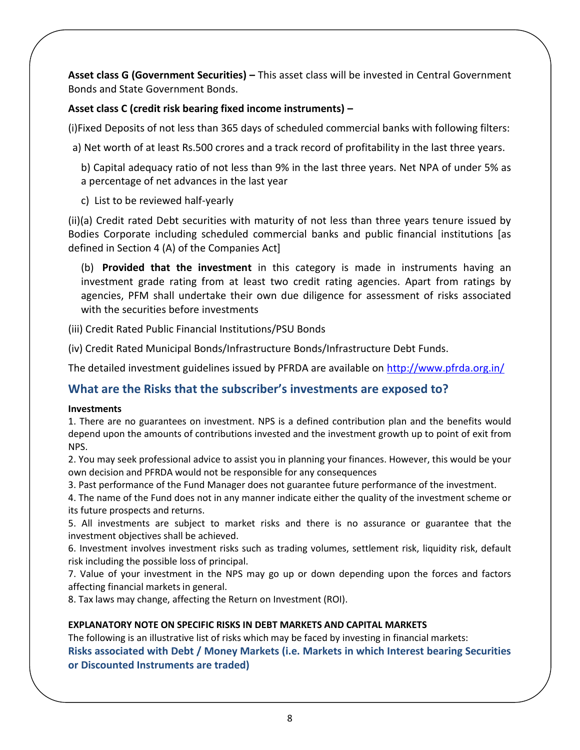**Asset class G (Government Securities) –** This asset class will be invested in Central Government Bonds and State Government Bonds.

#### **Asset class C (credit risk bearing fixed income instruments) –**

(i)Fixed Deposits of not less than 365 days of scheduled commercial banks with following filters:

a) Net worth of at least Rs.500 crores and a track record of profitability in the last three years.

b) Capital adequacy ratio of not less than 9% in the last three years. Net NPA of under 5% as a percentage of net advances in the last year

c) List to be reviewed half-yearly

(ii)(a) Credit rated Debt securities with maturity of not less than three years tenure issued by Bodies Corporate including scheduled commercial banks and public financial institutions [as defined in Section 4 (A) of the Companies Act]

(b) **Provided that the investment** in this category is made in instruments having an investment grade rating from at least two credit rating agencies. Apart from ratings by agencies, PFM shall undertake their own due diligence for assessment of risks associated with the securities before investments

(iii) Credit Rated Public Financial Institutions/PSU Bonds

(iv) Credit Rated Municipal Bonds/Infrastructure Bonds/Infrastructure Debt Funds.

The detailed investment guidelines issued by PFRDA are available on<http://www.pfrda.org.in/>

# **What are the Risks that the subscriber's investments are exposed to?**

#### **Investments**

1. There are no guarantees on investment. NPS is a defined contribution plan and the benefits would depend upon the amounts of contributions invested and the investment growth up to point of exit from NPS.

2. You may seek professional advice to assist you in planning your finances. However, this would be your own decision and PFRDA would not be responsible for any consequences

3. Past performance of the Fund Manager does not guarantee future performance of the investment.

4. The name of the Fund does not in any manner indicate either the quality of the investment scheme or its future prospects and returns.

5. All investments are subject to market risks and there is no assurance or guarantee that the investment objectives shall be achieved.

6. Investment involves investment risks such as trading volumes, settlement risk, liquidity risk, default risk including the possible loss of principal.

7. Value of your investment in the NPS may go up or down depending upon the forces and factors affecting financial markets in general.

8. Tax laws may change, affecting the Return on Investment (ROI).

#### **EXPLANATORY NOTE ON SPECIFIC RISKS IN DEBT MARKETS AND CAPITAL MARKETS**

The following is an illustrative list of risks which may be faced by investing in financial markets: **Risks associated with Debt / Money Markets (i.e. Markets in which Interest bearing Securities or Discounted Instruments are traded)**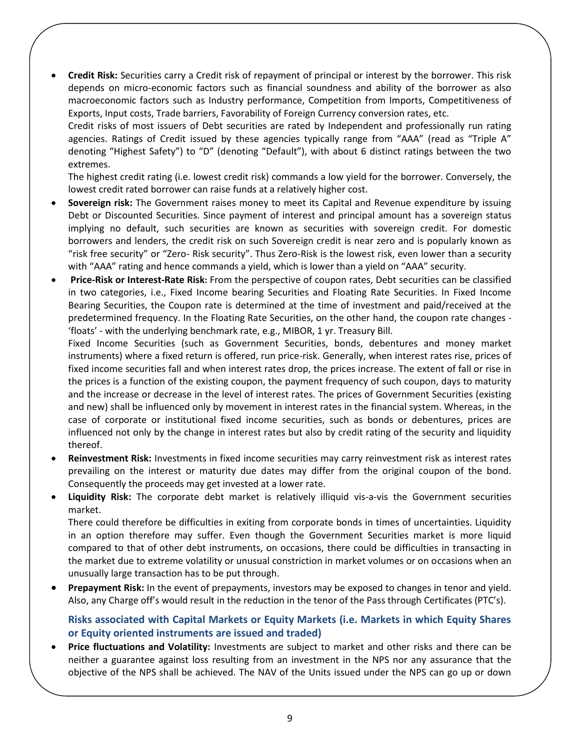**Credit Risk:** Securities carry a Credit risk of repayment of principal or interest by the borrower. This risk depends on micro-economic factors such as financial soundness and ability of the borrower as also macroeconomic factors such as Industry performance, Competition from Imports, Competitiveness of Exports, Input costs, Trade barriers, Favorability of Foreign Currency conversion rates, etc.

Credit risks of most issuers of Debt securities are rated by Independent and professionally run rating agencies. Ratings of Credit issued by these agencies typically range from "AAA" (read as "Triple A" denoting "Highest Safety") to "D" (denoting "Default"), with about 6 distinct ratings between the two extremes.

The highest credit rating (i.e. lowest credit risk) commands a low yield for the borrower. Conversely, the lowest credit rated borrower can raise funds at a relatively higher cost.

- **Sovereign risk:** The Government raises money to meet its Capital and Revenue expenditure by issuing Debt or Discounted Securities. Since payment of interest and principal amount has a sovereign status implying no default, such securities are known as securities with sovereign credit. For domestic borrowers and lenders, the credit risk on such Sovereign credit is near zero and is popularly known as "risk free security" or "Zero- Risk security". Thus Zero-Risk is the lowest risk, even lower than a security with "AAA" rating and hence commands a yield, which is lower than a yield on "AAA" security.
- **Price-Risk or Interest-Rate Risk:** From the perspective of coupon rates, Debt securities can be classified in two categories, i.e., Fixed Income bearing Securities and Floating Rate Securities. In Fixed Income Bearing Securities, the Coupon rate is determined at the time of investment and paid/received at the predetermined frequency. In the Floating Rate Securities, on the other hand, the coupon rate changes - 'floats' - with the underlying benchmark rate, e.g., MIBOR, 1 yr. Treasury Bill.

Fixed Income Securities (such as Government Securities, bonds, debentures and money market instruments) where a fixed return is offered, run price-risk. Generally, when interest rates rise, prices of fixed income securities fall and when interest rates drop, the prices increase. The extent of fall or rise in the prices is a function of the existing coupon, the payment frequency of such coupon, days to maturity and the increase or decrease in the level of interest rates. The prices of Government Securities (existing and new) shall be influenced only by movement in interest rates in the financial system. Whereas, in the case of corporate or institutional fixed income securities, such as bonds or debentures, prices are influenced not only by the change in interest rates but also by credit rating of the security and liquidity thereof.

- **Reinvestment Risk:** Investments in fixed income securities may carry reinvestment risk as interest rates prevailing on the interest or maturity due dates may differ from the original coupon of the bond. Consequently the proceeds may get invested at a lower rate.
- **Liquidity Risk:** The corporate debt market is relatively illiquid vis-a-vis the Government securities market.

There could therefore be difficulties in exiting from corporate bonds in times of uncertainties. Liquidity in an option therefore may suffer. Even though the Government Securities market is more liquid compared to that of other debt instruments, on occasions, there could be difficulties in transacting in the market due to extreme volatility or unusual constriction in market volumes or on occasions when an unusually large transaction has to be put through.

 **Prepayment Risk:** In the event of prepayments, investors may be exposed to changes in tenor and yield. Also, any Charge off's would result in the reduction in the tenor of the Pass through Certificates (PTC's).

#### **Risks associated with Capital Markets or Equity Markets (i.e. Markets in which Equity Shares or Equity oriented instruments are issued and traded)**

 **Price fluctuations and Volatility:** Investments are subject to market and other risks and there can be neither a guarantee against loss resulting from an investment in the NPS nor any assurance that the objective of the NPS shall be achieved. The NAV of the Units issued under the NPS can go up or down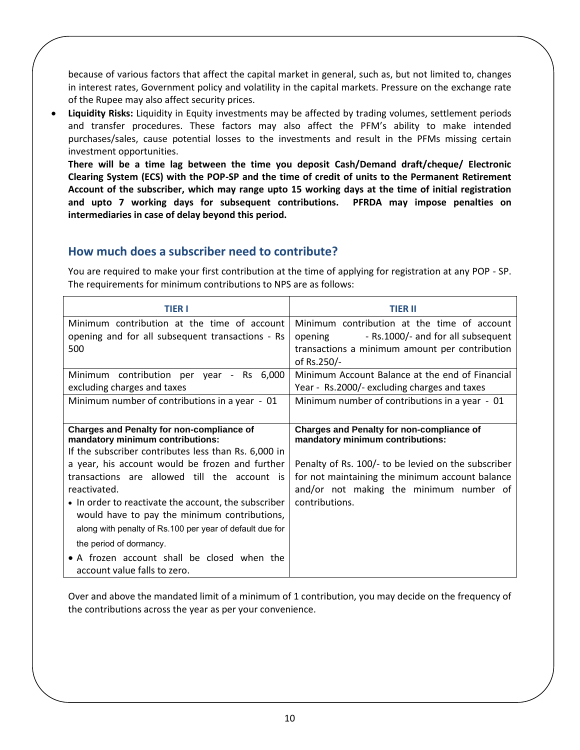because of various factors that affect the capital market in general, such as, but not limited to, changes in interest rates, Government policy and volatility in the capital markets. Pressure on the exchange rate of the Rupee may also affect security prices.

 **Liquidity Risks:** Liquidity in Equity investments may be affected by trading volumes, settlement periods and transfer procedures. These factors may also affect the PFM's ability to make intended purchases/sales, cause potential losses to the investments and result in the PFMs missing certain investment opportunities.

**There will be a time lag between the time you deposit Cash/Demand draft/cheque/ Electronic Clearing System (ECS) with the POP-SP and the time of credit of units to the Permanent Retirement Account of the subscriber, which may range upto 15 working days at the time of initial registration and upto 7 working days for subsequent contributions. PFRDA may impose penalties on intermediaries in case of delay beyond this period.**

## **How much does a subscriber need to contribute?**

| <b>TIER I</b>                                            | <b>TIER II</b>                                      |
|----------------------------------------------------------|-----------------------------------------------------|
| Minimum contribution at the time of account              | Minimum contribution at the time of account         |
| opening and for all subsequent transactions - Rs         | opening<br>- Rs.1000/- and for all subsequent       |
| 500                                                      | transactions a minimum amount per contribution      |
|                                                          | of Rs.250/-                                         |
| Minimum contribution per year - Rs 6,000                 | Minimum Account Balance at the end of Financial     |
| excluding charges and taxes                              | Year - Rs.2000/- excluding charges and taxes        |
| Minimum number of contributions in a year - 01           | Minimum number of contributions in a year - 01      |
|                                                          |                                                     |
| <b>Charges and Penalty for non-compliance of</b>         | <b>Charges and Penalty for non-compliance of</b>    |
| mandatory minimum contributions:                         | mandatory minimum contributions:                    |
| If the subscriber contributes less than Rs. 6,000 in     |                                                     |
| a year, his account would be frozen and further          | Penalty of Rs. 100/- to be levied on the subscriber |
| transactions are allowed till the account is             | for not maintaining the minimum account balance     |
| reactivated.                                             | and/or not making the minimum number of             |
| • In order to reactivate the account, the subscriber     | contributions.                                      |
| would have to pay the minimum contributions,             |                                                     |
| along with penalty of Rs.100 per year of default due for |                                                     |
| the period of dormancy.                                  |                                                     |
| • A frozen account shall be closed when the              |                                                     |
| account value falls to zero.                             |                                                     |

You are required to make your first contribution at the time of applying for registration at any POP - SP. The requirements for minimum contributions to NPS are as follows:

Over and above the mandated limit of a minimum of 1 contribution, you may decide on the frequency of the contributions across the year as per your convenience.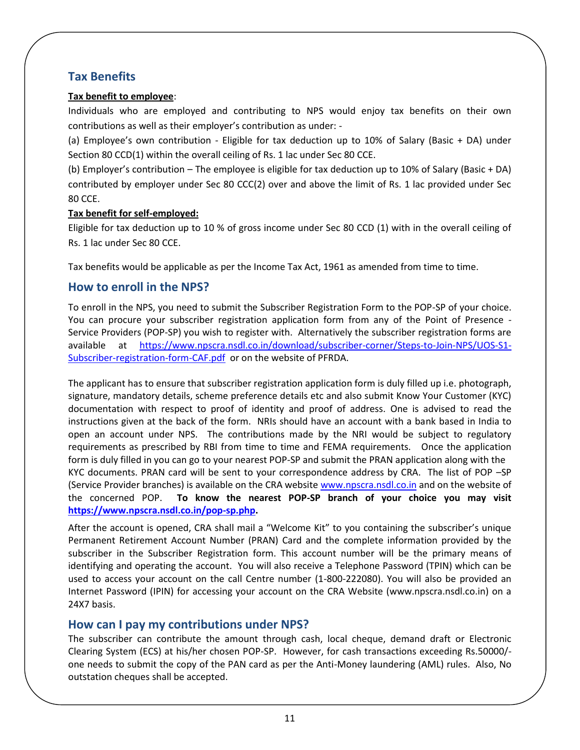## **Tax Benefits**

#### **Tax benefit to employee**:

Individuals who are employed and contributing to NPS would enjoy tax benefits on their own contributions as well as their employer's contribution as under: -

(a) Employee's own contribution - Eligible for tax deduction up to 10% of Salary (Basic + DA) under Section 80 CCD(1) within the overall ceiling of Rs. 1 lac under Sec 80 CCE.

(b) Employer's contribution – The employee is eligible for tax deduction up to 10% of Salary (Basic + DA) contributed by employer under Sec 80 CCC(2) over and above the limit of Rs. 1 lac provided under Sec 80 CCE.

#### **Tax benefit for self-employed:**

Eligible for tax deduction up to 10 % of gross income under Sec 80 CCD (1) with in the overall ceiling of Rs. 1 lac under Sec 80 CCE.

Tax benefits would be applicable as per the Income Tax Act, 1961 as amended from time to time.

#### **How to enroll in the NPS?**

To enroll in the NPS, you need to submit the Subscriber Registration Form to the POP-SP of your choice. You can procure your subscriber registration application form from any of the Point of Presence - Service Providers (POP-SP) you wish to register with. Alternatively the subscriber registration forms are available at [https://www.npscra.nsdl.co.in/download/subscriber-corner/Steps-to-Join-NPS/UOS-S1-](https://www.npscra.nsdl.co.in/download/subscriber-corner/Steps-to-Join-NPS/UOS-S1-Subscriber-registration-form-CAF.pdf) [Subscriber-registration-form-CAF.pdf](https://www.npscra.nsdl.co.in/download/subscriber-corner/Steps-to-Join-NPS/UOS-S1-Subscriber-registration-form-CAF.pdf) or on the website of PFRDA.

The applicant has to ensure that subscriber registration application form is duly filled up i.e. photograph, signature, mandatory details, scheme preference details etc and also submit Know Your Customer (KYC) documentation with respect to proof of identity and proof of address. One is advised to [read the](https://www.npscra.nsdl.co.in/download/subscriber-corner/Steps-to-Join-NPS/INSTRUCTIONS%20FOR%20FILLING%20THE%20FORM.pdf)  [instructions](https://www.npscra.nsdl.co.in/download/subscriber-corner/Steps-to-Join-NPS/INSTRUCTIONS%20FOR%20FILLING%20THE%20FORM.pdf) given at the back of the form. NRIs should have an account with a bank based in India to open an account under NPS. The contributions made by the NRI would be subject to regulatory requirements as prescribed by RBI from time to time and FEMA requirements. Once the application form is duly filled in you can go to your nearest POP-SP and submit the PRAN application along with the KYC documents. PRAN card will be sent to your correspondence address by CRA. The list of POP –SP (Service Provider branches) is available on the CRA website [www.npscra.nsdl.co.in](http://www.npscra.nsdl.co.in/) and on the website of the concerned POP. **To know the nearest POP-SP branch of your choice you may visit [https://www.npscra.nsdl.co.in/pop-sp.php.](https://www.npscra.nsdl.co.in/pop-sp.php)**

After the account is opened, CRA shall mail a "Welcome Kit" to you containing the subscriber's unique Permanent Retirement Account Number (PRAN) Card and the complete information provided by the subscriber in the Subscriber Registration form. This account number will be the primary means of identifying and operating the account. You will also receive a Telephone Password (TPIN) which can be used to access your account on the call Centre number (1-800-222080). You will also be provided an Internet Password (IPIN) for accessing your account on the CRA Website (www.npscra.nsdl.co.in) on a 24X7 basis.

#### **How can I pay my contributions under NPS?**

The subscriber can contribute the amount through cash, local cheque, demand draft or Electronic Clearing System (ECS) at his/her chosen POP-SP. However, for cash transactions exceeding Rs.50000/ one needs to submit the copy of the PAN card as per the Anti-Money laundering (AML) rules. Also, No outstation cheques shall be accepted.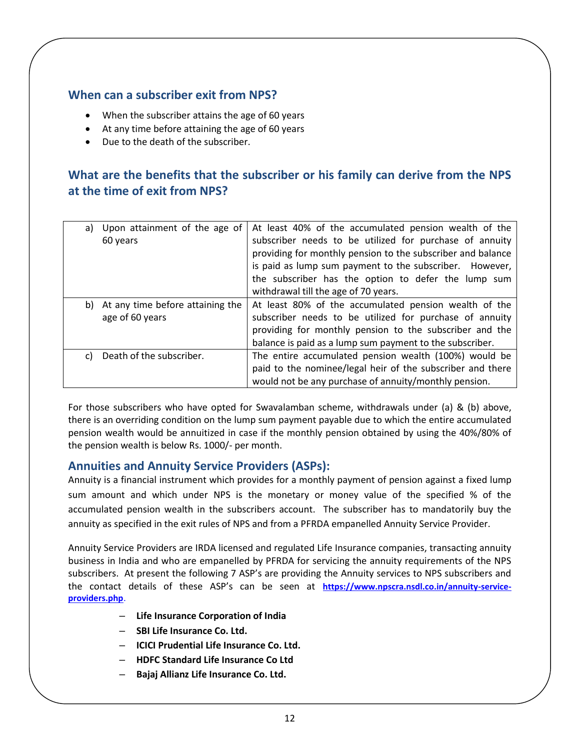### **When can a subscriber exit from NPS?**

- When the subscriber attains the age of 60 years
- At any time before attaining the age of 60 years
- Due to the death of the subscriber.

# **What are the benefits that the subscriber or his family can derive from the NPS at the time of exit from NPS?**

| a) | Upon attainment of the age of    | At least 40% of the accumulated pension wealth of the       |
|----|----------------------------------|-------------------------------------------------------------|
|    | 60 years                         | subscriber needs to be utilized for purchase of annuity     |
|    |                                  | providing for monthly pension to the subscriber and balance |
|    |                                  | is paid as lump sum payment to the subscriber. However,     |
|    |                                  | the subscriber has the option to defer the lump sum         |
|    |                                  | withdrawal till the age of 70 years.                        |
| b) | At any time before attaining the | At least 80% of the accumulated pension wealth of the       |
|    | age of 60 years                  | subscriber needs to be utilized for purchase of annuity     |
|    |                                  | providing for monthly pension to the subscriber and the     |
|    |                                  | balance is paid as a lump sum payment to the subscriber.    |
| C) | Death of the subscriber.         | The entire accumulated pension wealth (100%) would be       |
|    |                                  | paid to the nominee/legal heir of the subscriber and there  |
|    |                                  | would not be any purchase of annuity/monthly pension.       |

For those subscribers who have opted for Swavalamban scheme, withdrawals under (a) & (b) above, there is an overriding condition on the lump sum payment payable due to which the entire accumulated pension wealth would be annuitized in case if the monthly pension obtained by using the 40%/80% of the pension wealth is below Rs. 1000/- per month.

#### **Annuities and Annuity Service Providers (ASPs):**

Annuity is a financial instrument which provides for a monthly payment of pension against a fixed lump sum amount and which under NPS is the monetary or money value of the specified % of the accumulated pension wealth in the subscribers account. The subscriber has to mandatorily buy the annuity as specified in the exit rules of NPS and from a PFRDA empanelled Annuity Service Provider.

Annuity Service Providers are IRDA licensed and regulated Life Insurance companies, transacting annuity business in India and who are empanelled by PFRDA for servicing the annuity requirements of the NPS subscribers. At present the following 7 ASP's are providing the Annuity services to NPS subscribers and the contact details of these ASP's can be seen at **[https://www.npscra.nsdl.co.in/annuity-service](https://www.npscra.nsdl.co.in/annuity-service-providers.php)[providers.php](https://www.npscra.nsdl.co.in/annuity-service-providers.php)**.

- **Life Insurance Corporation of India**
- **SBI Life Insurance Co. Ltd.**
- **ICICI Prudential Life Insurance Co. Ltd.**
- **HDFC Standard Life Insurance Co Ltd**
- **Bajaj Allianz Life Insurance Co. Ltd.**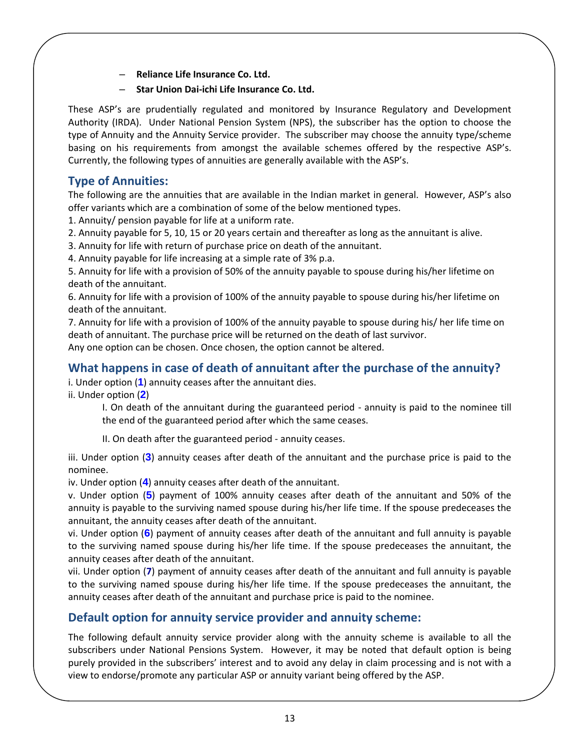- **Reliance Life Insurance Co. Ltd.**
- **Star Union Dai-ichi Life Insurance Co. Ltd.**

These ASP's are prudentially regulated and monitored by Insurance Regulatory and Development Authority (IRDA). Under National Pension System (NPS), the subscriber has the option to choose the type of Annuity and the Annuity Service provider. The subscriber may choose the annuity type/scheme basing on his requirements from amongst the available schemes offered by the respective ASP's. Currently, the following types of annuities are generally available with the ASP's.

#### **Type of Annuities:**

The following are the annuities that are available in the Indian market in general. However, ASP's also offer variants which are a combination of some of the below mentioned types.

1. Annuity/ pension payable for life at a uniform rate.

2. Annuity payable for 5, 10, 15 or 20 years certain and thereafter as long as the annuitant is alive.

3. Annuity for life with return of purchase price on death of the annuitant.

4. Annuity payable for life increasing at a simple rate of 3% p.a.

5. Annuity for life with a provision of 50% of the annuity payable to spouse during his/her lifetime on death of the annuitant.

6. Annuity for life with a provision of 100% of the annuity payable to spouse during his/her lifetime on death of the annuitant.

7. Annuity for life with a provision of 100% of the annuity payable to spouse during his/ her life time on death of annuitant. The purchase price will be returned on the death of last survivor.

Any one option can be chosen. Once chosen, the option cannot be altered.

#### **What happens in case of death of annuitant after the purchase of the annuity?**

i. Under option (**1**) annuity ceases after the annuitant dies.

ii. Under option (**2**)

I. On death of the annuitant during the guaranteed period - annuity is paid to the nominee till the end of the guaranteed period after which the same ceases.

II. On death after the guaranteed period - annuity ceases.

iii. Under option (**3**) annuity ceases after death of the annuitant and the purchase price is paid to the nominee.

iv. Under option (**4**) annuity ceases after death of the annuitant.

v. Under option (**5**) payment of 100% annuity ceases after death of the annuitant and 50% of the annuity is payable to the surviving named spouse during his/her life time. If the spouse predeceases the annuitant, the annuity ceases after death of the annuitant.

vi. Under option (**6**) payment of annuity ceases after death of the annuitant and full annuity is payable to the surviving named spouse during his/her life time. If the spouse predeceases the annuitant, the annuity ceases after death of the annuitant.

vii. Under option (**7**) payment of annuity ceases after death of the annuitant and full annuity is payable to the surviving named spouse during his/her life time. If the spouse predeceases the annuitant, the annuity ceases after death of the annuitant and purchase price is paid to the nominee.

#### **Default option for annuity service provider and annuity scheme:**

The following default annuity service provider along with the annuity scheme is available to all the subscribers under National Pensions System. However, it may be noted that default option is being purely provided in the subscribers' interest and to avoid any delay in claim processing and is not with a view to endorse/promote any particular ASP or annuity variant being offered by the ASP.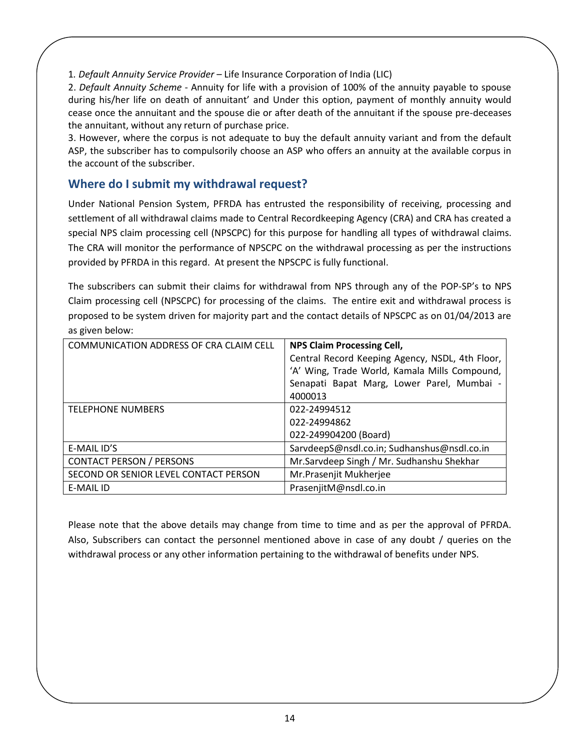1*. Default Annuity Service Provider* – Life Insurance Corporation of India (LIC)

2. *Default Annuity Scheme* - Annuity for life with a provision of 100% of the annuity payable to spouse during his/her life on death of annuitant' and Under this option, payment of monthly annuity would cease once the annuitant and the spouse die or after death of the annuitant if the spouse pre-deceases the annuitant, without any return of purchase price.

3. However, where the corpus is not adequate to buy the default annuity variant and from the default ASP, the subscriber has to compulsorily choose an ASP who offers an annuity at the available corpus in the account of the subscriber.

#### **Where do I submit my withdrawal request?**

Under National Pension System, PFRDA has entrusted the responsibility of receiving, processing and settlement of all withdrawal claims made to Central Recordkeeping Agency (CRA) and CRA has created a special NPS claim processing cell (NPSCPC) for this purpose for handling all types of withdrawal claims. The CRA will monitor the performance of NPSCPC on the withdrawal processing as per the instructions provided by PFRDA in this regard. At present the NPSCPC is fully functional.

The subscribers can submit their claims for withdrawal from NPS through any of the POP-SP's to NPS Claim processing cell (NPSCPC) for processing of the claims. The entire exit and withdrawal process is proposed to be system driven for majority part and the contact details of NPSCPC as on 01/04/2013 are as given below:

| COMMUNICATION ADDRESS OF CRA CLAIM CELL | <b>NPS Claim Processing Cell,</b>               |
|-----------------------------------------|-------------------------------------------------|
|                                         | Central Record Keeping Agency, NSDL, 4th Floor, |
|                                         | 'A' Wing, Trade World, Kamala Mills Compound,   |
|                                         | Senapati Bapat Marg, Lower Parel, Mumbai -      |
|                                         | 4000013                                         |
| <b>TELEPHONE NUMBERS</b>                | 022-24994512                                    |
|                                         | 022-24994862                                    |
|                                         | 022-249904200 (Board)                           |
| E-MAIL ID'S                             | SarvdeepS@nsdl.co.in; Sudhanshus@nsdl.co.in     |
| <b>CONTACT PERSON / PERSONS</b>         | Mr.Sarvdeep Singh / Mr. Sudhanshu Shekhar       |
| SECOND OR SENIOR LEVEL CONTACT PERSON   | Mr.Prasenjit Mukherjee                          |
| E-MAIL ID                               | PrasenjitM@nsdl.co.in                           |

Please note that the above details may change from time to time and as per the approval of PFRDA. Also, Subscribers can contact the personnel mentioned above in case of any doubt / queries on the withdrawal process or any other information pertaining to the withdrawal of benefits under NPS.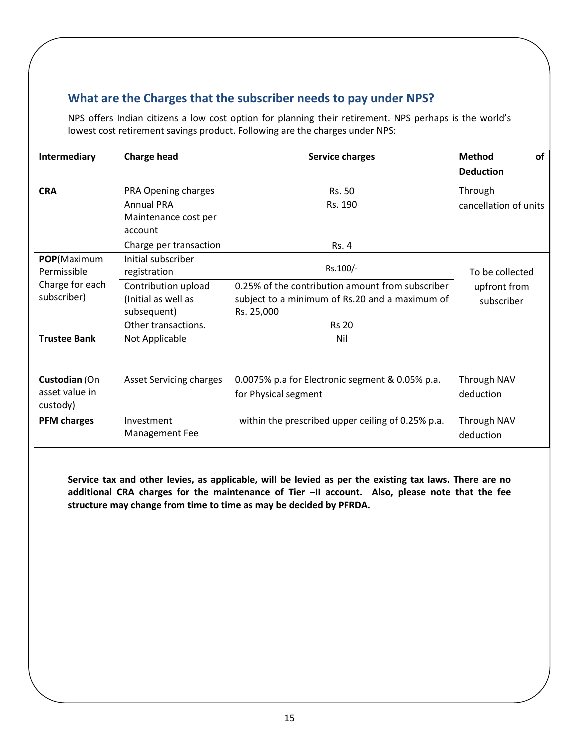## **What are the Charges that the subscriber needs to pay under NPS?**

NPS offers Indian citizens a low cost option for planning their retirement. NPS perhaps is the world's lowest cost retirement savings product. Following are the charges under NPS:

| <b>Intermediary</b> | <b>Charge head</b>             | <b>Service charges</b>                            | <b>Method</b><br>of   |
|---------------------|--------------------------------|---------------------------------------------------|-----------------------|
|                     |                                |                                                   | <b>Deduction</b>      |
| <b>CRA</b>          | PRA Opening charges            | Rs. 50                                            | Through               |
|                     | <b>Annual PRA</b>              | Rs. 190                                           | cancellation of units |
|                     | Maintenance cost per           |                                                   |                       |
|                     | account                        |                                                   |                       |
|                     | Charge per transaction         | <b>Rs. 4</b>                                      |                       |
| POP(Maximum         | Initial subscriber             |                                                   |                       |
| Permissible         | registration                   | Rs.100/-                                          | To be collected       |
| Charge for each     | Contribution upload            | 0.25% of the contribution amount from subscriber  | upfront from          |
| subscriber)         | (Initial as well as            | subject to a minimum of Rs.20 and a maximum of    | subscriber            |
|                     | subsequent)                    | Rs. 25,000                                        |                       |
|                     | Other transactions.            | <b>Rs 20</b>                                      |                       |
| <b>Trustee Bank</b> | Not Applicable                 | Nil                                               |                       |
|                     |                                |                                                   |                       |
|                     |                                |                                                   |                       |
| Custodian (On       | <b>Asset Servicing charges</b> | 0.0075% p.a for Electronic segment & 0.05% p.a.   | Through NAV           |
| asset value in      |                                | for Physical segment                              | deduction             |
| custody)            |                                |                                                   |                       |
| <b>PFM charges</b>  | Investment                     | within the prescribed upper ceiling of 0.25% p.a. | Through NAV           |
|                     | Management Fee                 |                                                   | deduction             |

**Service tax and other levies, as applicable, will be levied as per the existing tax laws. There are no additional CRA charges for the maintenance of Tier –II account. Also, please note that the fee structure may change from time to time as may be decided by PFRDA.**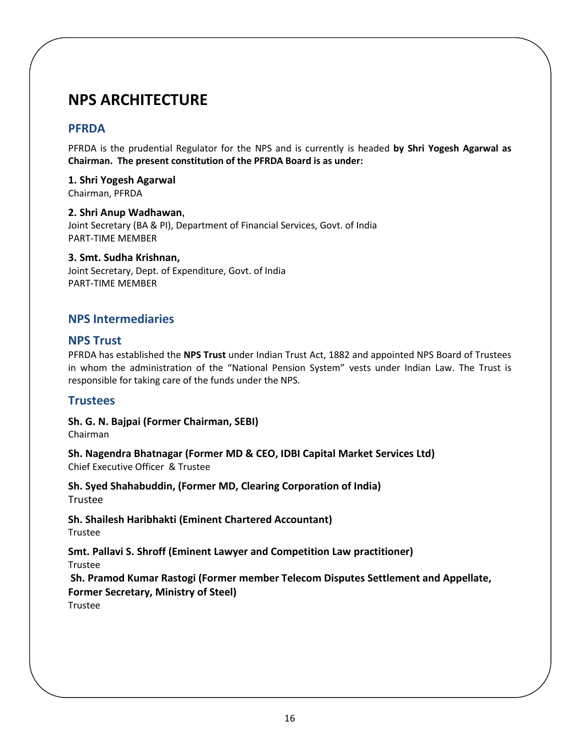# **NPS ARCHITECTURE**

## **PFRDA**

PFRDA is the prudential Regulator for the NPS and is currently is headed **by Shri Yogesh Agarwal as Chairman. The present constitution of the PFRDA Board is as under:**

**1. Shri Yogesh Agarwal** Chairman, PFRDA

**2. Shri Anup Wadhawan,** Joint Secretary (BA & PI), Department of Financial Services, Govt. of India PART-TIME MEMBER

**3. Smt. Sudha Krishnan,** Joint Secretary, Dept. of Expenditure, Govt. of India PART-TIME MEMBER

## **NPS Intermediaries**

#### **NPS Trust**

PFRDA has established the **NPS Trust** under Indian Trust Act, 1882 and appointed NPS Board of Trustees in whom the administration of the "National Pension System" vests under Indian Law. The Trust is responsible for taking care of the funds under the NPS.

#### **Trustees**

**Sh. G. N. Bajpai (Former Chairman, SEBI)** Chairman

**Sh. Nagendra Bhatnagar (Former MD & CEO, IDBI Capital Market Services Ltd)** Chief Executive Officer & Trustee

**Sh. Syed Shahabuddin, (Former MD, Clearing Corporation of India)** Trustee

**Sh. Shailesh Haribhakti (Eminent Chartered Accountant)** Trustee

**Smt. Pallavi S. Shroff (Eminent Lawyer and Competition Law practitioner)**

Trustee

**Sh. Pramod Kumar Rastogi (Former member Telecom Disputes Settlement and Appellate, Former Secretary, Ministry of Steel)** Trustee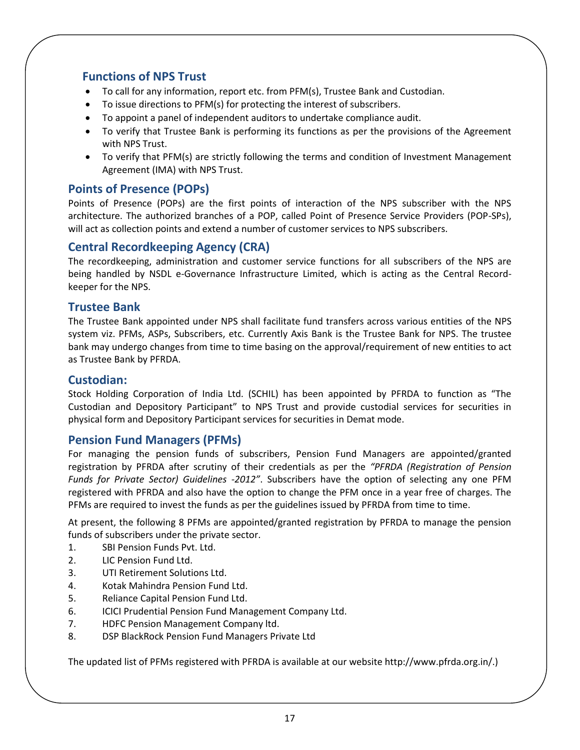#### **Functions of NPS Trust**

- To call for any information, report etc. from PFM(s), Trustee Bank and Custodian.
- To issue directions to PFM(s) for protecting the interest of subscribers.
- To appoint a panel of independent auditors to undertake compliance audit.
- To verify that Trustee Bank is performing its functions as per the provisions of the Agreement with NPS Trust.
- To verify that PFM(s) are strictly following the terms and condition of Investment Management Agreement (IMA) with NPS Trust.

#### **Points of Presence (POPs)**

Points of Presence (POPs) are the first points of interaction of the NPS subscriber with the NPS architecture. The authorized branches of a POP, called Point of Presence Service Providers (POP-SPs), will act as collection points and extend a number of customer services to NPS subscribers.

#### **Central Recordkeeping Agency (CRA)**

The recordkeeping, administration and customer service functions for all subscribers of the NPS are being handled by NSDL e-Governance Infrastructure Limited, which is acting as the Central Recordkeeper for the NPS.

#### **Trustee Bank**

The Trustee Bank appointed under NPS shall facilitate fund transfers across various entities of the NPS system viz. PFMs, ASPs, Subscribers, etc. Currently Axis Bank is the Trustee Bank for NPS. The trustee bank may undergo changes from time to time basing on the approval/requirement of new entities to act as Trustee Bank by PFRDA.

#### **Custodian:**

Stock Holding Corporation of India Ltd. (SCHIL) has been appointed by PFRDA to function as "The Custodian and Depository Participant" to NPS Trust and provide custodial services for securities in physical form and Depository Participant services for securities in Demat mode.

#### **Pension Fund Managers (PFMs)**

For managing the pension funds of subscribers, Pension Fund Managers are appointed/granted registration by PFRDA after scrutiny of their credentials as per the *"PFRDA (Registration of Pension Funds for Private Sector) Guidelines -2012"*. Subscribers have the option of selecting any one PFM registered with PFRDA and also have the option to change the PFM once in a year free of charges. The PFMs are required to invest the funds as per the guidelines issued by PFRDA from time to time.

At present, the following 8 PFMs are appointed/granted registration by PFRDA to manage the pension funds of subscribers under the private sector.

- 1. SBI Pension Funds Pvt. Ltd.
- 2. LIC Pension Fund Ltd.
- 3. UTI Retirement Solutions Ltd.
- 4. Kotak Mahindra Pension Fund Ltd.
- 5. Reliance Capital Pension Fund Ltd.
- 6. ICICI Prudential Pension Fund Management Company Ltd.
- 7. HDFC Pension Management Company ltd.
- 8. DSP BlackRock Pension Fund Managers Private Ltd

The updated list of PFMs registered with PFRDA is available at our website http://www.pfrda.org.in/.)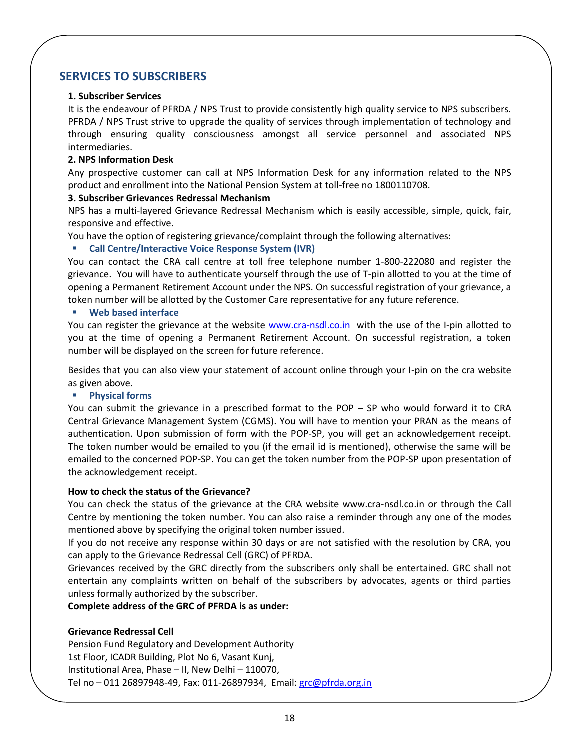#### **SERVICES TO SUBSCRIBERS**

#### **1. Subscriber Services**

It is the endeavour of PFRDA / NPS Trust to provide consistently high quality service to NPS subscribers. PFRDA / NPS Trust strive to upgrade the quality of services through implementation of technology and through ensuring quality consciousness amongst all service personnel and associated NPS intermediaries.

#### **2. NPS Information Desk**

Any prospective customer can call at NPS Information Desk for any information related to the NPS product and enrollment into the National Pension System at toll-free no 1800110708.

#### **3. Subscriber Grievances Redressal Mechanism**

NPS has a multi-layered Grievance Redressal Mechanism which is easily accessible, simple, quick, fair, responsive and effective.

You have the option of registering grievance/complaint through the following alternatives:

#### **Call Centre/Interactive Voice Response System (IVR)**

You can contact the CRA call centre at toll free telephone number 1-800-222080 and register the grievance. You will have to authenticate yourself through the use of T-pin allotted to you at the time of opening a Permanent Retirement Account under the NPS. On successful registration of your grievance, a token number will be allotted by the Customer Care representative for any future reference.

#### **Web based interface**

You can register the grievance at the website [www.cra-nsdl.co.in](http://www.cra-nsdl.co.in/) with the use of the I-pin allotted to you at the time of opening a Permanent Retirement Account. On successful registration, a token number will be displayed on the screen for future reference.

Besides that you can also view your statement of account online through your I-pin on the cra website as given above.

#### **Physical forms**

You can submit the grievance in a prescribed format to the POP – SP who would forward it to CRA Central Grievance Management System (CGMS). You will have to mention your PRAN as the means of authentication. Upon submission of form with the POP-SP, you will get an acknowledgement receipt. The token number would be emailed to you (if the email id is mentioned), otherwise the same will be emailed to the concerned POP-SP. You can get the token number from the POP-SP upon presentation of the acknowledgement receipt.

#### **How to check the status of the Grievance?**

You can check the status of the grievance at the CRA website www.cra-nsdl.co.in or through the Call Centre by mentioning the token number. You can also raise a reminder through any one of the modes mentioned above by specifying the original token number issued.

If you do not receive any response within 30 days or are not satisfied with the resolution by CRA, you can apply to the Grievance Redressal Cell (GRC) of PFRDA.

Grievances received by the GRC directly from the subscribers only shall be entertained. GRC shall not entertain any complaints written on behalf of the subscribers by advocates, agents or third parties unless formally authorized by the subscriber.

**Complete address of the GRC of PFRDA is as under:**

#### **Grievance Redressal Cell**

Pension Fund Regulatory and Development Authority 1st Floor, ICADR Building, Plot No 6, Vasant Kunj, Institutional Area, Phase – II, New Delhi – 110070, Tel no - 011 26897948-49, Fax: 011-26897934, Email: [grc@pfrda.org.in](mailto:grc@pfrda.org.in)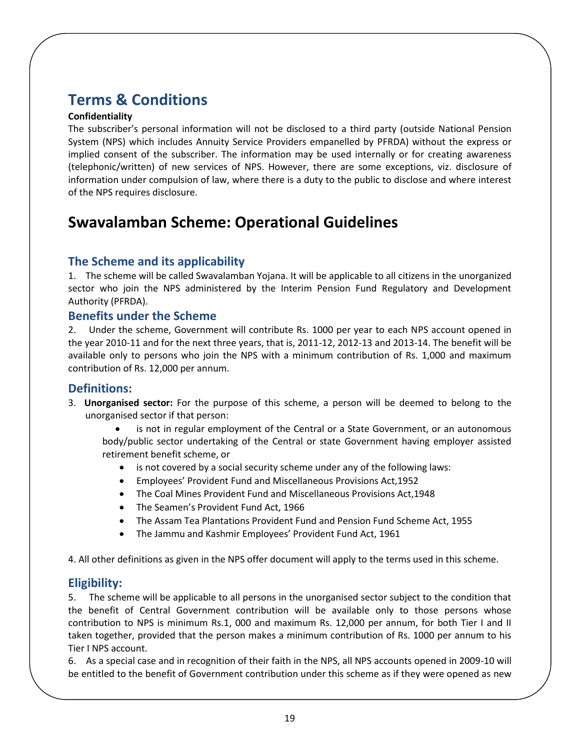# **Terms & Conditions**

#### **Confidentiality**

The subscriber's personal information will not be disclosed to a third party (outside National Pension System (NPS) which includes Annuity Service Providers empanelled by PFRDA) without the express or implied consent of the subscriber. The information may be used internally or for creating awareness (telephonic/written) of new services of NPS. However, there are some exceptions, viz. disclosure of information under compulsion of law, where there is a duty to the public to disclose and where interest of the NPS requires disclosure.

# **Swavalamban Scheme: Operational Guidelines**

## **The Scheme and its applicability**

1. The scheme will be called Swavalamban Yojana. It will be applicable to all citizens in the unorganized sector who join the NPS administered by the Interim Pension Fund Regulatory and Development Authority (PFRDA).

#### **Benefits under the Scheme**

2. Under the scheme, Government will contribute Rs. 1000 per year to each NPS account opened in the year 2010-11 and for the next three years, that is, 2011-12, 2012-13 and 2013-14. The benefit will be available only to persons who join the NPS with a minimum contribution of Rs. 1,000 and maximum contribution of Rs. 12,000 per annum.

#### **Definitions:**

3. **Unorganised sector:** For the purpose of this scheme, a person will be deemed to belong to the unorganised sector if that person:

 is not in regular employment of the Central or a State Government, or an autonomous body/public sector undertaking of the Central or state Government having employer assisted retirement benefit scheme, or

- is not covered by a social security scheme under any of the following laws:
- Employees' Provident Fund and Miscellaneous Provisions Act,1952
- The Coal Mines Provident Fund and Miscellaneous Provisions Act,1948
- The Seamen's Provident Fund Act, 1966
- The Assam Tea Plantations Provident Fund and Pension Fund Scheme Act, 1955
- The Jammu and Kashmir Employees' Provident Fund Act, 1961

4. All other definitions as given in the NPS offer document will apply to the terms used in this scheme.

#### **Eligibility:**

5. The scheme will be applicable to all persons in the unorganised sector subject to the condition that the benefit of Central Government contribution will be available only to those persons whose contribution to NPS is minimum Rs.1, 000 and maximum Rs. 12,000 per annum, for both Tier I and II taken together, provided that the person makes a minimum contribution of Rs. 1000 per annum to his Tier I NPS account.

6. As a special case and in recognition of their faith in the NPS, all NPS accounts opened in 2009-10 will be entitled to the benefit of Government contribution under this scheme as if they were opened as new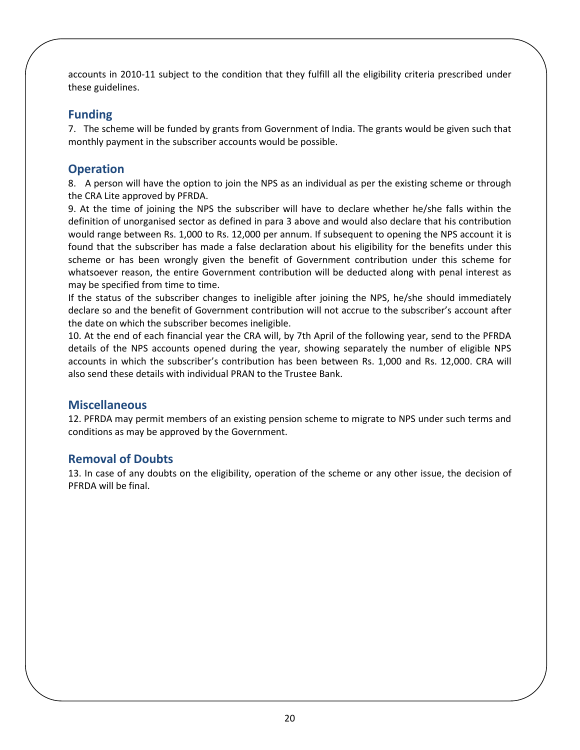accounts in 2010-11 subject to the condition that they fulfill all the eligibility criteria prescribed under these guidelines.

#### **Funding**

7. The scheme will be funded by grants from Government of India. The grants would be given such that monthly payment in the subscriber accounts would be possible.

#### **Operation**

8. A person will have the option to join the NPS as an individual as per the existing scheme or through the CRA Lite approved by PFRDA.

9. At the time of joining the NPS the subscriber will have to declare whether he/she falls within the definition of unorganised sector as defined in para 3 above and would also declare that his contribution would range between Rs. 1,000 to Rs. 12,000 per annum. If subsequent to opening the NPS account it is found that the subscriber has made a false declaration about his eligibility for the benefits under this scheme or has been wrongly given the benefit of Government contribution under this scheme for whatsoever reason, the entire Government contribution will be deducted along with penal interest as may be specified from time to time.

If the status of the subscriber changes to ineligible after joining the NPS, he/she should immediately declare so and the benefit of Government contribution will not accrue to the subscriber's account after the date on which the subscriber becomes ineligible.

10. At the end of each financial year the CRA will, by 7th April of the following year, send to the PFRDA details of the NPS accounts opened during the year, showing separately the number of eligible NPS accounts in which the subscriber's contribution has been between Rs. 1,000 and Rs. 12,000. CRA will also send these details with individual PRAN to the Trustee Bank.

#### **Miscellaneous**

12. PFRDA may permit members of an existing pension scheme to migrate to NPS under such terms and conditions as may be approved by the Government.

#### **Removal of Doubts**

13. In case of any doubts on the eligibility, operation of the scheme or any other issue, the decision of PFRDA will be final.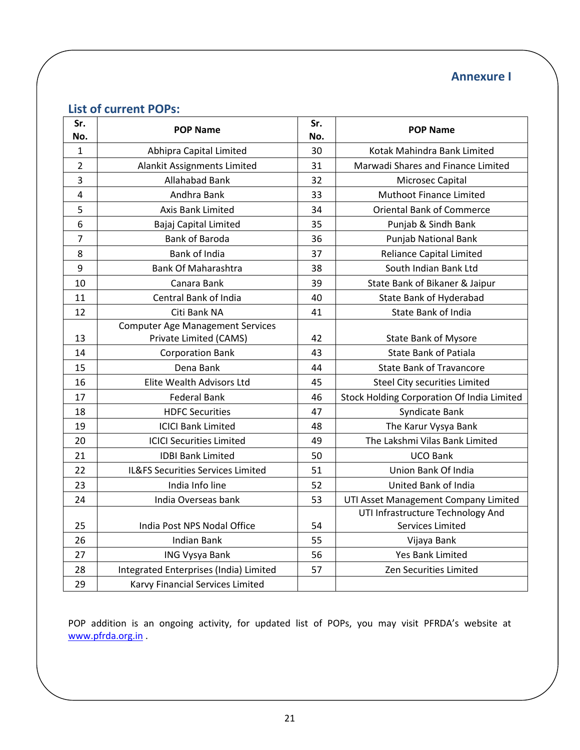# **Annexure I**

# **List of current POPs:**

| Sr.<br>No.              | <b>POP Name</b>                                                   | Sr.<br>No. | <b>POP Name</b>                                       |
|-------------------------|-------------------------------------------------------------------|------------|-------------------------------------------------------|
| $\mathbf{1}$            | Abhipra Capital Limited                                           | 30         | Kotak Mahindra Bank Limited                           |
| $\overline{2}$          | Alankit Assignments Limited                                       | 31         | Marwadi Shares and Finance Limited                    |
| 3                       | Allahabad Bank                                                    | 32         | Microsec Capital                                      |
| $\overline{\mathbf{4}}$ | Andhra Bank                                                       | 33         | Muthoot Finance Limited                               |
| 5                       | Axis Bank Limited                                                 | 34         | <b>Oriental Bank of Commerce</b>                      |
| 6                       | Bajaj Capital Limited                                             | 35         | Punjab & Sindh Bank                                   |
| $\overline{7}$          | Bank of Baroda                                                    | 36         | Punjab National Bank                                  |
| 8                       | Bank of India                                                     | 37         | <b>Reliance Capital Limited</b>                       |
| 9                       | <b>Bank Of Maharashtra</b>                                        | 38         | South Indian Bank Ltd                                 |
| 10                      | Canara Bank                                                       | 39         | State Bank of Bikaner & Jaipur                        |
| 11                      | Central Bank of India                                             | 40         | State Bank of Hyderabad                               |
| 12                      | Citi Bank NA                                                      | 41         | <b>State Bank of India</b>                            |
| 13                      | <b>Computer Age Management Services</b><br>Private Limited (CAMS) | 42         | <b>State Bank of Mysore</b>                           |
| 14                      | <b>Corporation Bank</b>                                           | 43         | <b>State Bank of Patiala</b>                          |
| 15                      | Dena Bank                                                         | 44         | <b>State Bank of Travancore</b>                       |
| 16                      | Elite Wealth Advisors Ltd                                         | 45         | <b>Steel City securities Limited</b>                  |
| 17                      | <b>Federal Bank</b>                                               | 46         | Stock Holding Corporation Of India Limited            |
| 18                      | <b>HDFC Securities</b>                                            | 47         | Syndicate Bank                                        |
| 19                      | <b>ICICI Bank Limited</b>                                         | 48         | The Karur Vysya Bank                                  |
| 20                      | <b>ICICI Securities Limited</b>                                   | 49         | The Lakshmi Vilas Bank Limited                        |
| 21                      | <b>IDBI Bank Limited</b>                                          | 50         | <b>UCO Bank</b>                                       |
| 22                      | IL&FS Securities Services Limited                                 | 51         | Union Bank Of India                                   |
| 23                      | India Info line                                                   | 52         | United Bank of India                                  |
| 24                      | India Overseas bank                                               | 53         | UTI Asset Management Company Limited                  |
| 25                      | India Post NPS Nodal Office                                       | 54         | UTI Infrastructure Technology And<br>Services Limited |
| 26                      | <b>Indian Bank</b>                                                | 55         | Vijaya Bank                                           |
| 27                      | <b>ING Vysya Bank</b>                                             | 56         | <b>Yes Bank Limited</b>                               |
| 28                      | Integrated Enterprises (India) Limited                            | 57         | Zen Securities Limited                                |
| 29                      | Karvy Financial Services Limited                                  |            |                                                       |

POP addition is an ongoing activity, for updated list of POPs, you may visit PFRDA's website at [www.pfrda.org.in](http://www.pfrda.org.in/) .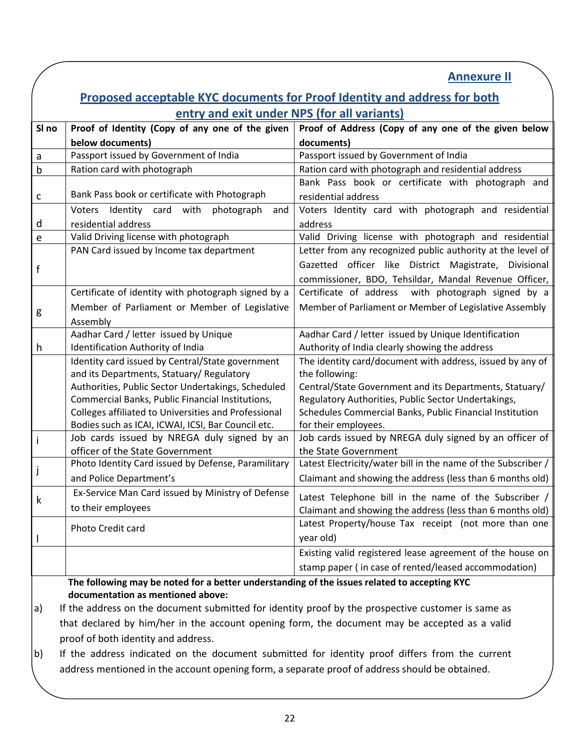|                                                                                               |                                                                                                                                   | <b>Annexure II</b>                                                                                              |  |
|-----------------------------------------------------------------------------------------------|-----------------------------------------------------------------------------------------------------------------------------------|-----------------------------------------------------------------------------------------------------------------|--|
|                                                                                               | <b>Proposed acceptable KYC documents for Proof Identity and address for both</b>                                                  |                                                                                                                 |  |
|                                                                                               | entry and exit under NPS (for all variants)                                                                                       |                                                                                                                 |  |
| SI no                                                                                         | Proof of Identity (Copy of any one of the given                                                                                   | Proof of Address (Copy of any one of the given below                                                            |  |
|                                                                                               | below documents)                                                                                                                  | documents)                                                                                                      |  |
| a                                                                                             | Passport issued by Government of India                                                                                            | Passport issued by Government of India                                                                          |  |
| b                                                                                             | Ration card with photograph                                                                                                       | Ration card with photograph and residential address                                                             |  |
|                                                                                               |                                                                                                                                   | Bank Pass book or certificate with photograph and                                                               |  |
| с                                                                                             | Bank Pass book or certificate with Photograph                                                                                     | residential address                                                                                             |  |
|                                                                                               | Voters Identity card with<br>photograph<br>and                                                                                    | Voters Identity card with photograph and residential                                                            |  |
| d                                                                                             | residential address                                                                                                               | address                                                                                                         |  |
| е                                                                                             | Valid Driving license with photograph                                                                                             | Valid Driving license with photograph and residential                                                           |  |
|                                                                                               | PAN Card issued by Income tax department                                                                                          | Letter from any recognized public authority at the level of                                                     |  |
| $\mathsf{f}$                                                                                  |                                                                                                                                   | Gazetted officer like District Magistrate, Divisional                                                           |  |
|                                                                                               |                                                                                                                                   | commissioner, BDO, Tehsildar, Mandal Revenue Officer,                                                           |  |
|                                                                                               | Certificate of identity with photograph signed by a                                                                               | Certificate of address with photograph signed by a                                                              |  |
| g                                                                                             | Member of Parliament or Member of Legislative                                                                                     | Member of Parliament or Member of Legislative Assembly                                                          |  |
|                                                                                               | Assembly                                                                                                                          |                                                                                                                 |  |
|                                                                                               | Aadhar Card / letter issued by Unique                                                                                             | Aadhar Card / letter issued by Unique Identification                                                            |  |
| h                                                                                             | Identification Authority of India                                                                                                 | Authority of India clearly showing the address                                                                  |  |
|                                                                                               | Identity card issued by Central/State government                                                                                  | The identity card/document with address, issued by any of                                                       |  |
|                                                                                               | and its Departments, Statuary/ Regulatory                                                                                         | the following:                                                                                                  |  |
|                                                                                               | Authorities, Public Sector Undertakings, Scheduled                                                                                | Central/State Government and its Departments, Statuary/                                                         |  |
|                                                                                               | Commercial Banks, Public Financial Institutions,<br>Colleges affiliated to Universities and Professional                          | Regulatory Authorities, Public Sector Undertakings,<br>Schedules Commercial Banks, Public Financial Institution |  |
|                                                                                               | Bodies such as ICAI, ICWAI, ICSI, Bar Council etc.                                                                                | for their employees.                                                                                            |  |
|                                                                                               | Job cards issued by NREGA duly signed by an                                                                                       | Job cards issued by NREGA duly signed by an officer of                                                          |  |
|                                                                                               | officer of the State Government                                                                                                   | the State Government                                                                                            |  |
|                                                                                               | Photo Identity Card issued by Defense, Paramilitary                                                                               | Latest Electricity/water bill in the name of the Subscriber /                                                   |  |
|                                                                                               | and Police Department's                                                                                                           | Claimant and showing the address (less than 6 months old)                                                       |  |
|                                                                                               | Ex-Service Man Card issued by Ministry of Defense                                                                                 | Latest Telephone bill in the name of the Subscriber $/$                                                         |  |
| k                                                                                             | to their employees                                                                                                                | Claimant and showing the address (less than 6 months old)                                                       |  |
|                                                                                               |                                                                                                                                   | Latest Property/house Tax receipt (not more than one                                                            |  |
|                                                                                               | Photo Credit card                                                                                                                 | year old)                                                                                                       |  |
|                                                                                               |                                                                                                                                   | Existing valid registered lease agreement of the house on                                                       |  |
|                                                                                               |                                                                                                                                   | stamp paper (in case of rented/leased accommodation)                                                            |  |
|                                                                                               |                                                                                                                                   |                                                                                                                 |  |
|                                                                                               | The following may be noted for a better understanding of the issues related to accepting KYC<br>documentation as mentioned above: |                                                                                                                 |  |
| a)                                                                                            | If the address on the document submitted for identity proof by the prospective customer is same as                                |                                                                                                                 |  |
| that declared by him/her in the account opening form, the document may be accepted as a valid |                                                                                                                                   |                                                                                                                 |  |
|                                                                                               |                                                                                                                                   |                                                                                                                 |  |
| proof of both identity and address.                                                           |                                                                                                                                   |                                                                                                                 |  |

b) If the address indicated on the document submitted for identity proof differs from the current address mentioned in the account opening form, a separate proof of address should be obtained.